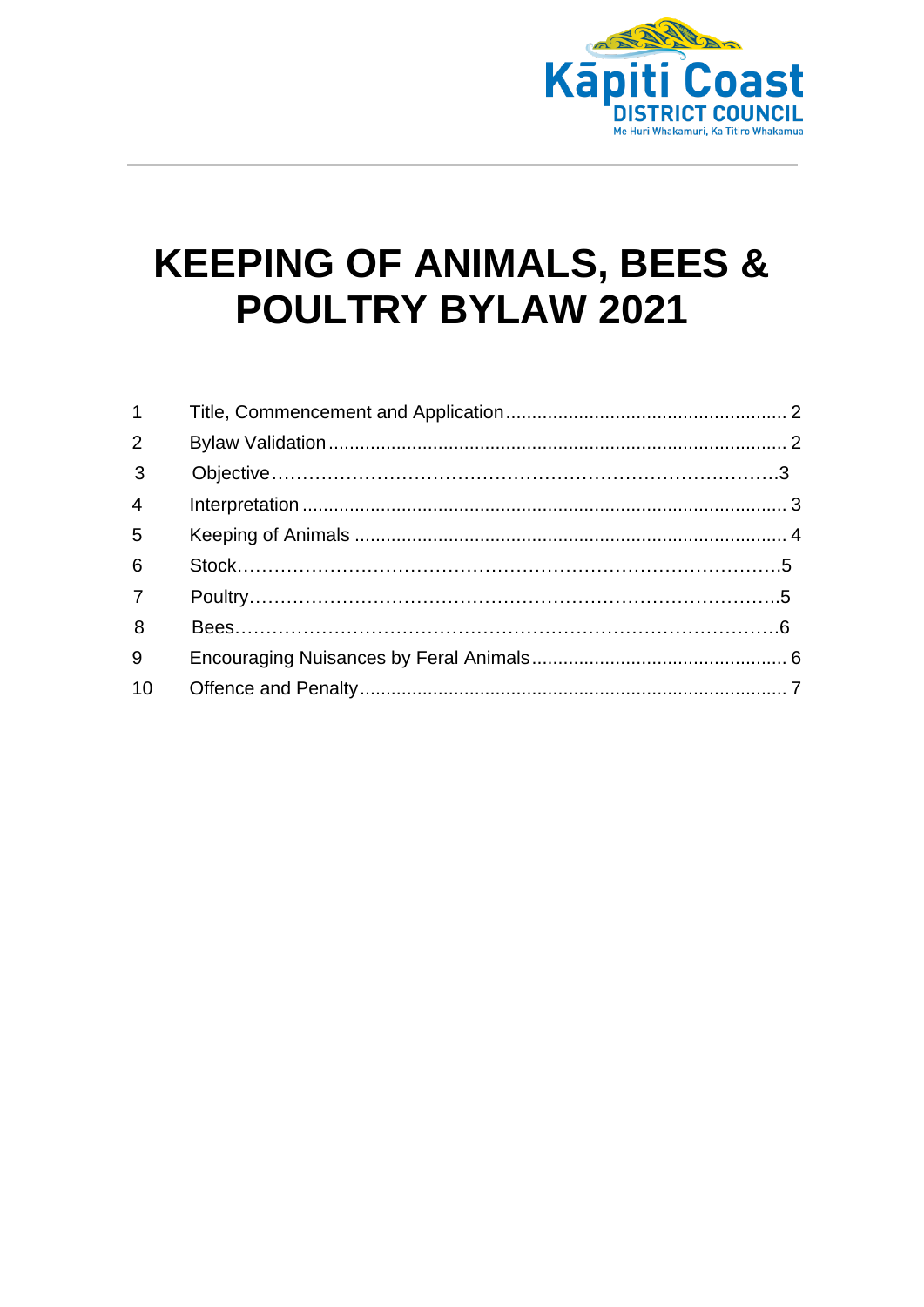

# **KEEPING OF ANIMALS, BEES & POULTRY BYLAW 2021**

| $\overline{2}$ |  |
|----------------|--|
| $\overline{3}$ |  |
| $\overline{4}$ |  |
| 5              |  |
| 6              |  |
| 7 <sup>7</sup> |  |
| 8              |  |
| 9              |  |
| 10             |  |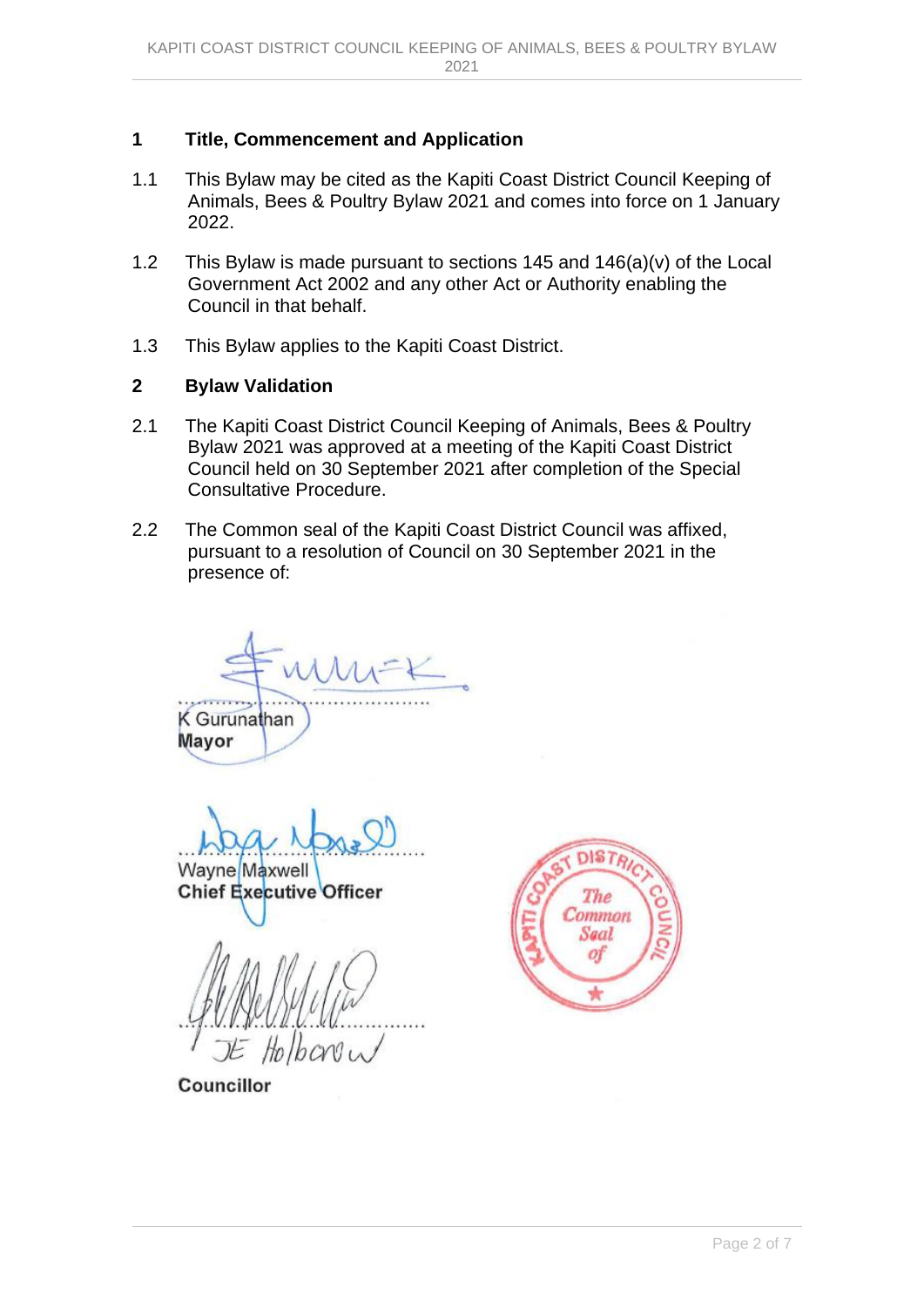## <span id="page-1-0"></span>**1 Title, Commencement and Application**

- 1.1 This Bylaw may be cited as the Kapiti Coast District Council Keeping of Animals, Bees & Poultry Bylaw 2021 and comes into force on 1 January 2022.
- 1.2 This Bylaw is made pursuant to sections 145 and 146(a)(v) of the Local Government Act 2002 and any other Act or Authority enabling the Council in that behalf.
- 1.3 This Bylaw applies to the Kapiti Coast District.

## <span id="page-1-1"></span>**2 Bylaw Validation**

- 2.1 The Kapiti Coast District Council Keeping of Animals, Bees & Poultry Bylaw 2021 was approved at a meeting of the Kapiti Coast District Council held on 30 September 2021 after completion of the Special Consultative Procedure.
- 2.2 The Common seal of the Kapiti Coast District Council was affixed, pursuant to a resolution of Council on 30 September 2021 in the presence of:

 $\lambda$   $\Lambda$   $\Lambda$ .

**K** Gurunathan **Mayor** 

Wayne Maxwell

**Chief Executive Officer** 

Holboniu



<span id="page-1-2"></span>Councillor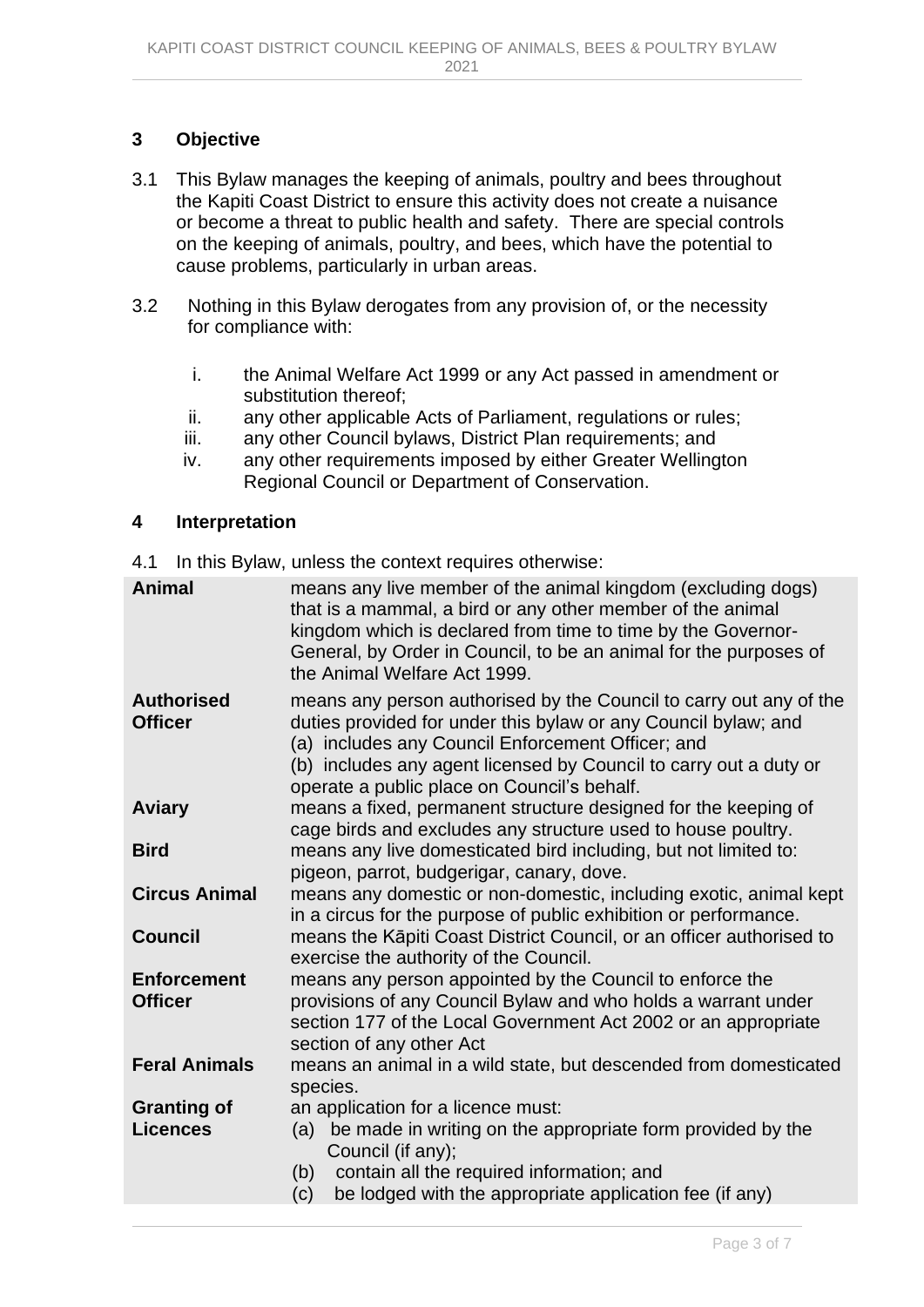# **3 Objective**

- 3.1 This Bylaw manages the keeping of animals, poultry and bees throughout the Kapiti Coast District to ensure this activity does not create a nuisance or become a threat to public health and safety. There are special controls on the keeping of animals, poultry, and bees, which have the potential to cause problems, particularly in urban areas.
- 3.2 Nothing in this Bylaw derogates from any provision of, or the necessity for compliance with:
	- i. the Animal Welfare Act 1999 or any Act passed in amendment or substitution thereof;
	- ii. any other applicable Acts of Parliament, regulations or rules;
	- iii. any other Council bylaws, District Plan requirements; and
	- iv. any other requirements imposed by either Greater Wellington Regional Council or Department of Conservation.

#### <span id="page-2-0"></span>**4 Interpretation**

4.1 In this Bylaw, unless the context requires otherwise:

| <b>Animal</b>                         | means any live member of the animal kingdom (excluding dogs)<br>that is a mammal, a bird or any other member of the animal<br>kingdom which is declared from time to time by the Governor-<br>General, by Order in Council, to be an animal for the purposes of<br>the Animal Welfare Act 1999.               |
|---------------------------------------|---------------------------------------------------------------------------------------------------------------------------------------------------------------------------------------------------------------------------------------------------------------------------------------------------------------|
| <b>Authorised</b><br><b>Officer</b>   | means any person authorised by the Council to carry out any of the<br>duties provided for under this bylaw or any Council bylaw; and<br>(a) includes any Council Enforcement Officer; and<br>(b) includes any agent licensed by Council to carry out a duty or<br>operate a public place on Council's behalf. |
| <b>Aviary</b>                         | means a fixed, permanent structure designed for the keeping of<br>cage birds and excludes any structure used to house poultry.                                                                                                                                                                                |
| <b>Bird</b>                           | means any live domesticated bird including, but not limited to:<br>pigeon, parrot, budgerigar, canary, dove.                                                                                                                                                                                                  |
| <b>Circus Animal</b>                  | means any domestic or non-domestic, including exotic, animal kept<br>in a circus for the purpose of public exhibition or performance.                                                                                                                                                                         |
| <b>Council</b>                        | means the Kāpiti Coast District Council, or an officer authorised to<br>exercise the authority of the Council.                                                                                                                                                                                                |
| <b>Enforcement</b><br><b>Officer</b>  | means any person appointed by the Council to enforce the<br>provisions of any Council Bylaw and who holds a warrant under<br>section 177 of the Local Government Act 2002 or an appropriate<br>section of any other Act                                                                                       |
| <b>Feral Animals</b>                  | means an animal in a wild state, but descended from domesticated<br>species.                                                                                                                                                                                                                                  |
| <b>Granting of</b><br><b>Licences</b> | an application for a licence must:<br>be made in writing on the appropriate form provided by the<br>(a)<br>Council (if any);<br>contain all the required information; and<br>(b)<br>be lodged with the appropriate application fee (if any)<br>(c)                                                            |
|                                       |                                                                                                                                                                                                                                                                                                               |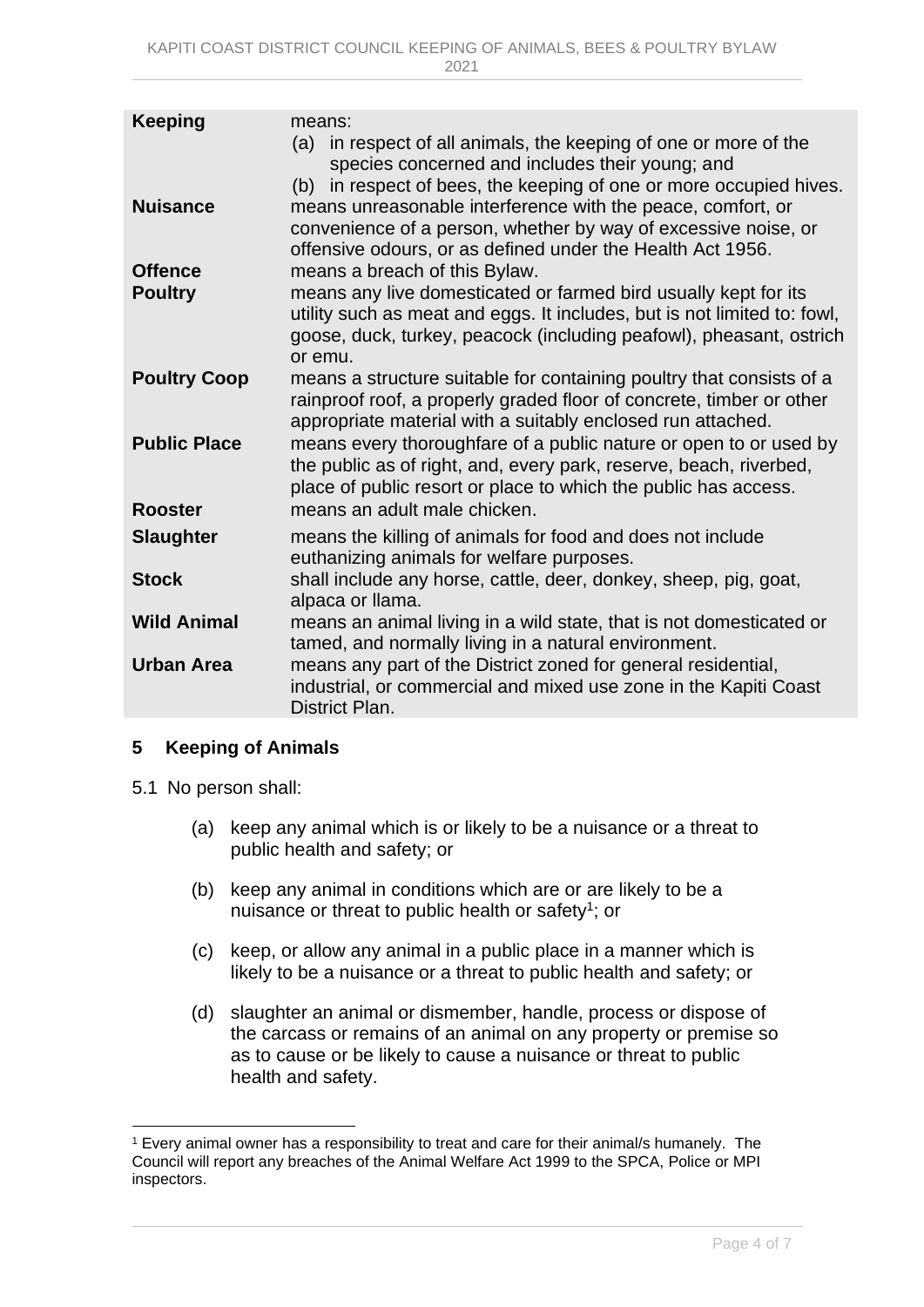| <b>Keeping</b>                   | means:<br>(a) in respect of all animals, the keeping of one or more of the<br>species concerned and includes their young; and<br>in respect of bees, the keeping of one or more occupied hives.<br>(b)                                                         |
|----------------------------------|----------------------------------------------------------------------------------------------------------------------------------------------------------------------------------------------------------------------------------------------------------------|
| <b>Nuisance</b>                  | means unreasonable interference with the peace, comfort, or<br>convenience of a person, whether by way of excessive noise, or<br>offensive odours, or as defined under the Health Act 1956.                                                                    |
| <b>Offence</b><br><b>Poultry</b> | means a breach of this Bylaw.<br>means any live domesticated or farmed bird usually kept for its<br>utility such as meat and eggs. It includes, but is not limited to: fowl,<br>goose, duck, turkey, peacock (including peafowl), pheasant, ostrich<br>or emu. |
| <b>Poultry Coop</b>              | means a structure suitable for containing poultry that consists of a<br>rainproof roof, a properly graded floor of concrete, timber or other<br>appropriate material with a suitably enclosed run attached.                                                    |
| <b>Public Place</b>              | means every thoroughfare of a public nature or open to or used by<br>the public as of right, and, every park, reserve, beach, riverbed,<br>place of public resort or place to which the public has access.                                                     |
| <b>Rooster</b>                   | means an adult male chicken.                                                                                                                                                                                                                                   |
| <b>Slaughter</b>                 | means the killing of animals for food and does not include<br>euthanizing animals for welfare purposes.                                                                                                                                                        |
| <b>Stock</b>                     | shall include any horse, cattle, deer, donkey, sheep, pig, goat,<br>alpaca or llama.                                                                                                                                                                           |
| <b>Wild Animal</b>               | means an animal living in a wild state, that is not domesticated or<br>tamed, and normally living in a natural environment.                                                                                                                                    |
| <b>Urban Area</b>                | means any part of the District zoned for general residential,<br>industrial, or commercial and mixed use zone in the Kapiti Coast<br>District Plan.                                                                                                            |
|                                  |                                                                                                                                                                                                                                                                |

### <span id="page-3-0"></span>**5 Keeping of Animals**

- 5.1 No person shall:
	- (a) keep any animal which is or likely to be a nuisance or a threat to public health and safety; or
	- (b) keep any animal in conditions which are or are likely to be a nuisance or threat to public health or safety<sup>1</sup>; or
	- (c) keep, or allow any animal in a public place in a manner which is likely to be a nuisance or a threat to public health and safety; or
	- (d) slaughter an animal or dismember, handle, process or dispose of the carcass or remains of an animal on any property or premise so as to cause or be likely to cause a nuisance or threat to public health and safety.

<sup>1</sup> Every animal owner has a responsibility to treat and care for their animal/s humanely. The Council will report any breaches of the Animal Welfare Act 1999 to the SPCA, Police or MPI inspectors.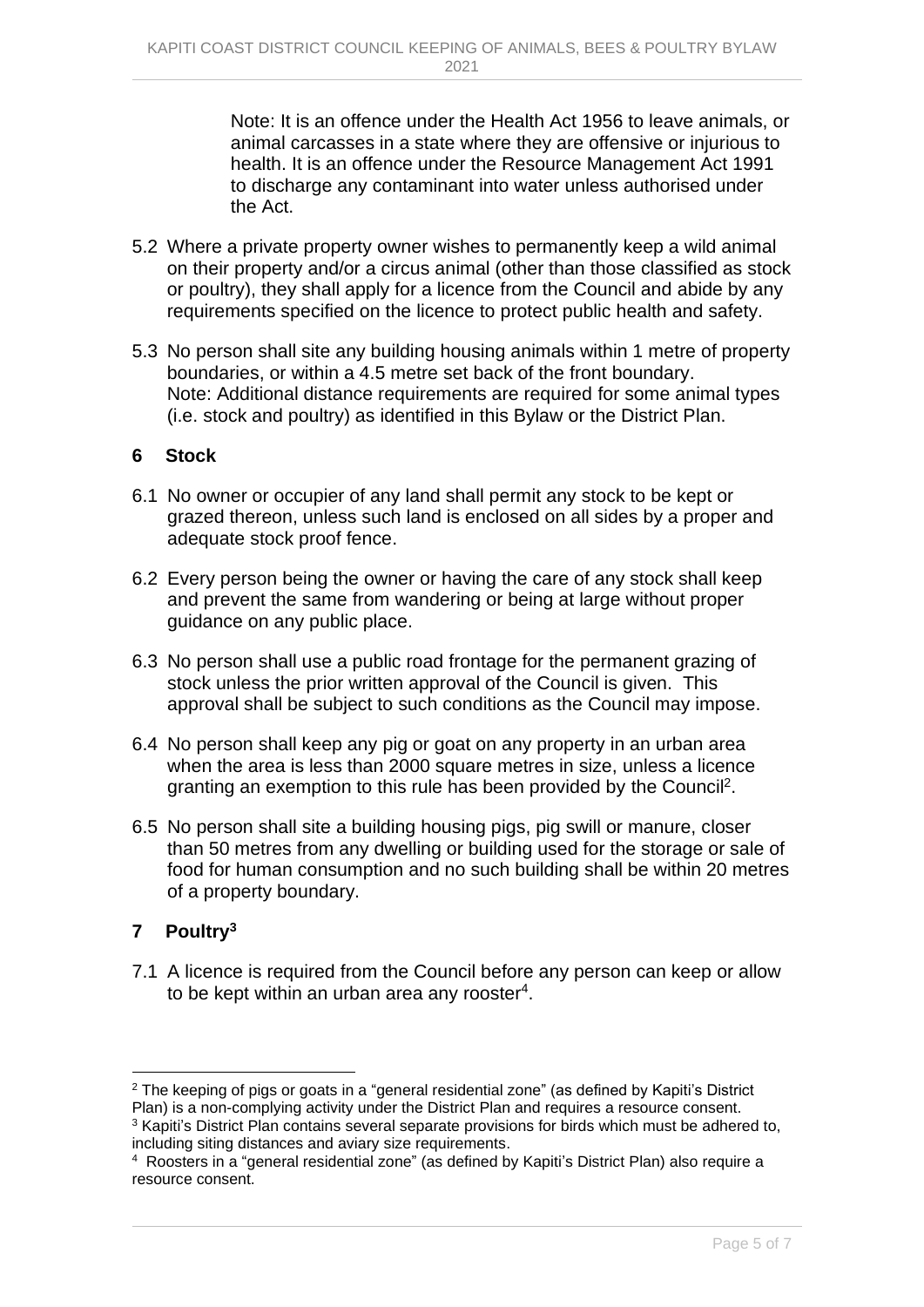Note: It is an offence under the Health Act 1956 to leave animals, or animal carcasses in a state where they are offensive or injurious to health. It is an offence under the Resource Management Act 1991 to discharge any contaminant into water unless authorised under the Act.

- 5.2 Where a private property owner wishes to permanently keep a wild animal on their property and/or a circus animal (other than those classified as stock or poultry), they shall apply for a licence from the Council and abide by any requirements specified on the licence to protect public health and safety.
- 5.3 No person shall site any building housing animals within 1 metre of property boundaries, or within a 4.5 metre set back of the front boundary. Note: Additional distance requirements are required for some animal types (i.e. stock and poultry) as identified in this Bylaw or the District Plan.

### <span id="page-4-0"></span>**6 Stock**

- 6.1 No owner or occupier of any land shall permit any stock to be kept or grazed thereon, unless such land is enclosed on all sides by a proper and adequate stock proof fence.
- 6.2 Every person being the owner or having the care of any stock shall keep and prevent the same from wandering or being at large without proper guidance on any public place.
- 6.3 No person shall use a public road frontage for the permanent grazing of stock unless the prior written approval of the Council is given. This approval shall be subject to such conditions as the Council may impose.
- 6.4 No person shall keep any pig or goat on any property in an urban area when the area is less than 2000 square metres in size, unless a licence granting an exemption to this rule has been provided by the Council<sup>2</sup>.
- 6.5 No person shall site a building housing pigs, pig swill or manure, closer than 50 metres from any dwelling or building used for the storage or sale of food for human consumption and no such building shall be within 20 metres of a property boundary.

# <span id="page-4-1"></span>**7 Poultry<sup>3</sup>**

7.1 A licence is required from the Council before any person can keep or allow to be kept within an urban area any rooster<sup>4</sup>.

<sup>2</sup> The keeping of pigs or goats in a "general residential zone" (as defined by Kapiti's District Plan) is a non-complying activity under the District Plan and requires a resource consent. <sup>3</sup> Kapiti's District Plan contains several separate provisions for birds which must be adhered to, including siting distances and aviary size requirements.

<sup>4</sup> Roosters in a "general residential zone" (as defined by Kapiti's District Plan) also require a resource consent.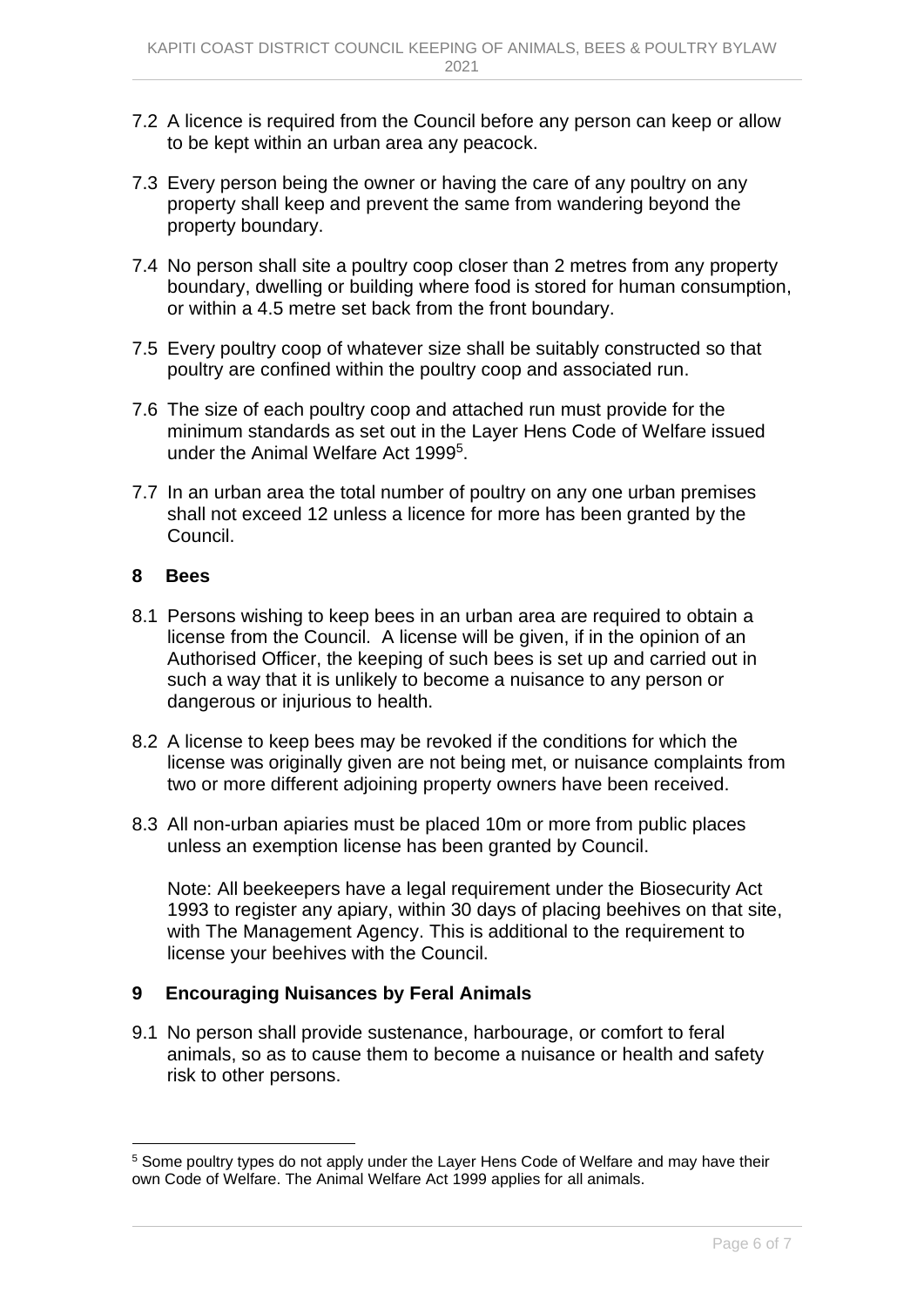- 7.2 A licence is required from the Council before any person can keep or allow to be kept within an urban area any peacock.
- 7.3 Every person being the owner or having the care of any poultry on any property shall keep and prevent the same from wandering beyond the property boundary.
- 7.4 No person shall site a poultry coop closer than 2 metres from any property boundary, dwelling or building where food is stored for human consumption, or within a 4.5 metre set back from the front boundary.
- 7.5 Every poultry coop of whatever size shall be suitably constructed so that poultry are confined within the poultry coop and associated run.
- 7.6 The size of each poultry coop and attached run must provide for the minimum standards as set out in the Layer Hens Code of Welfare issued under the Animal Welfare Act 1999<sup>5</sup>.
- 7.7 In an urban area the total number of poultry on any one urban premises shall not exceed 12 unless a licence for more has been granted by the Council.

#### <span id="page-5-0"></span>**8 Bees**

- 8.1 Persons wishing to keep bees in an urban area are required to obtain a license from the Council. A license will be given, if in the opinion of an Authorised Officer, the keeping of such bees is set up and carried out in such a way that it is unlikely to become a nuisance to any person or dangerous or injurious to health.
- 8.2 A license to keep bees may be revoked if the conditions for which the license was originally given are not being met, or nuisance complaints from two or more different adjoining property owners have been received.
- 8.3 All non-urban apiaries must be placed 10m or more from public places unless an exemption license has been granted by Council.

Note: All beekeepers have a legal requirement under the Biosecurity Act 1993 to register any apiary, within 30 days of placing beehives on that site, with The Management Agency. This is additional to the requirement to license your beehives with the Council.

### <span id="page-5-1"></span>**9 Encouraging Nuisances by Feral Animals**

9.1 No person shall provide sustenance, harbourage, or comfort to feral animals, so as to cause them to become a nuisance or health and safety risk to other persons.

<sup>5</sup> Some poultry types do not apply under the Layer Hens Code of Welfare and may have their own Code of Welfare. The Animal Welfare Act 1999 applies for all animals.